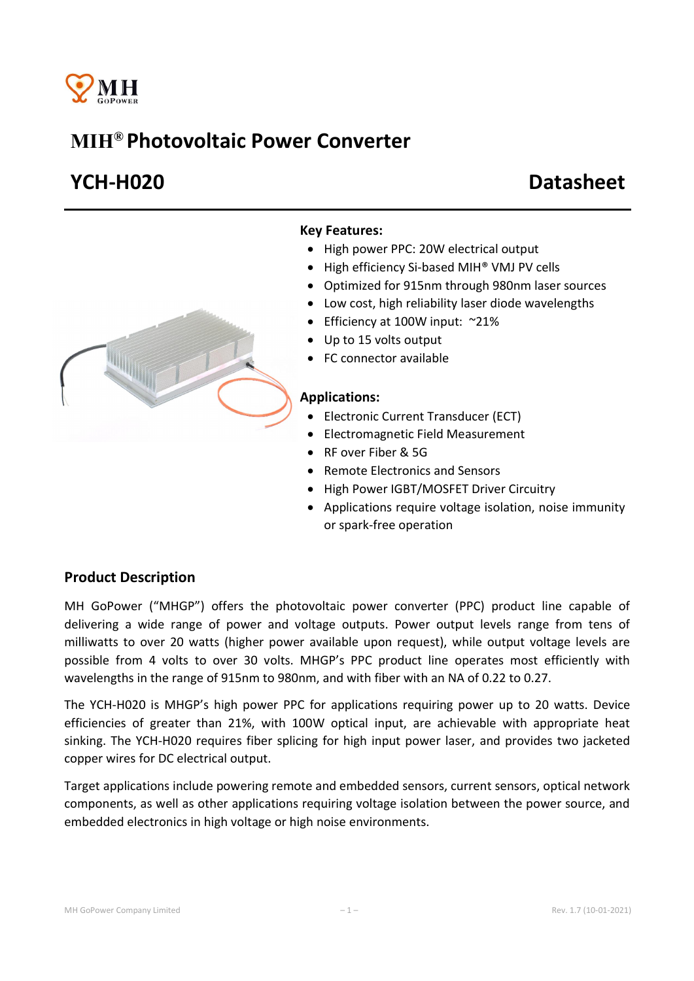

# MIH® Photovoltaic Power Converter

# YCH-H020 Datasheet



### Key Features:

- High power PPC: 20W electrical output
- High efficiency Si-based MIH® VMJ PV cells
- Optimized for 915nm through 980nm laser sources
- Low cost, high reliability laser diode wavelengths
- Efficiency at 100W input: ~21%
- Up to 15 volts output
- FC connector available

#### Applications:

- Electronic Current Transducer (ECT)
- Electromagnetic Field Measurement
- RF over Fiber & 5G
- Remote Electronics and Sensors
- High Power IGBT/MOSFET Driver Circuitry
- Applications require voltage isolation, noise immunity or spark-free operation

### Product Description

MH GoPower ("MHGP") offers the photovoltaic power converter (PPC) product line capable of delivering a wide range of power and voltage outputs. Power output levels range from tens of milliwatts to over 20 watts (higher power available upon request), while output voltage levels are possible from 4 volts to over 30 volts. MHGP's PPC product line operates most efficiently with wavelengths in the range of 915nm to 980nm, and with fiber with an NA of 0.22 to 0.27.

The YCH-H020 is MHGP's high power PPC for applications requiring power up to 20 watts. Device efficiencies of greater than 21%, with 100W optical input, are achievable with appropriate heat sinking. The YCH-H020 requires fiber splicing for high input power laser, and provides two jacketed copper wires for DC electrical output.

Target applications include powering remote and embedded sensors, current sensors, optical network components, as well as other applications requiring voltage isolation between the power source, and embedded electronics in high voltage or high noise environments.